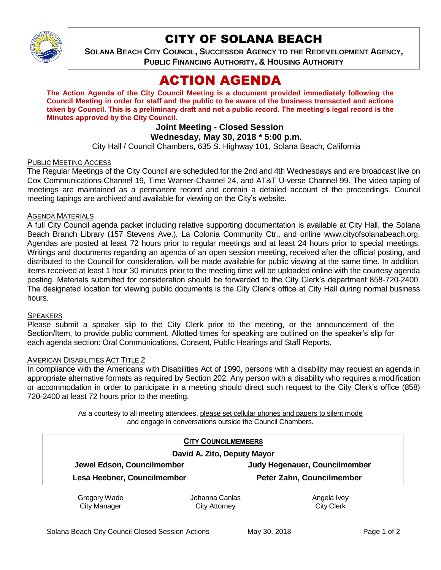

## CITY OF SOLANA BEACH

**SOLANA BEACH CITY COUNCIL, SUCCESSOR AGENCY TO THE REDEVELOPMENT AGENCY, PUBLIC FINANCING AUTHORITY, & HOUSING AUTHORITY** 

# ACTION AGENDA

**The Action Agenda of the City Council Meeting is a document provided immediately following the Council Meeting in order for staff and the public to be aware of the business transacted and actions taken by Council. This is a preliminary draft and not a public record. The meeting's legal record is the Minutes approved by the City Council.**

## **Joint Meeting - Closed Session Wednesday, May 30, 2018 \* 5:00 p.m.**

City Hall / Council Chambers, 635 S. Highway 101, Solana Beach, California

#### PUBLIC MEETING ACCESS

The Regular Meetings of the City Council are scheduled for the 2nd and 4th Wednesdays and are broadcast live on Cox Communications-Channel 19, Time Warner-Channel 24, and AT&T U-verse Channel 99. The video taping of meetings are maintained as a permanent record and contain a detailed account of the proceedings. Council meeting tapings are archived and available for viewing on the City's website.

#### AGENDA MATERIALS

A full City Council agenda packet including relative supporting documentation is available at City Hall, the Solana Beach Branch Library (157 Stevens Ave.), La Colonia Community Ctr., and online www.cityofsolanabeach.org. Agendas are posted at least 72 hours prior to regular meetings and at least 24 hours prior to special meetings. Writings and documents regarding an agenda of an open session meeting, received after the official posting, and distributed to the Council for consideration, will be made available for public viewing at the same time. In addition, items received at least 1 hour 30 minutes prior to the meeting time will be uploaded online with the courtesy agenda posting. Materials submitted for consideration should be forwarded to the City Clerk's department 858-720-2400. The designated location for viewing public documents is the City Clerk's office at City Hall during normal business hours.

#### SPEAKERS

Please submit a speaker slip to the City Clerk prior to the meeting, or the announcement of the Section/Item, to provide public comment. Allotted times for speaking are outlined on the speaker's slip for each agenda section: Oral Communications, Consent, Public Hearings and Staff Reports.

#### AMERICAN DISABILITIES ACT TITLE 2

In compliance with the Americans with Disabilities Act of 1990, persons with a disability may request an agenda in appropriate alternative formats as required by Section 202. Any person with a disability who requires a modification or accommodation in order to participate in a meeting should direct such request to the City Clerk's office (858) 720-2400 at least 72 hours prior to the meeting.

> As a courtesy to all meeting attendees, please set cellular phones and pagers to silent mode and engage in conversations outside the Council Chambers.

| <b>CITY COUNCILMEMBERS</b>  |                |                                      |
|-----------------------------|----------------|--------------------------------------|
| David A. Zito, Deputy Mayor |                |                                      |
| Jewel Edson, Councilmember  |                | <b>Judy Hegenauer, Councilmember</b> |
| Lesa Heebner, Councilmember |                | Peter Zahn, Councilmember            |
| Gregory Wade                | Johanna Canlas | Angela Ivey                          |
| <b>City Manager</b>         | City Attorney  | <b>City Clerk</b>                    |